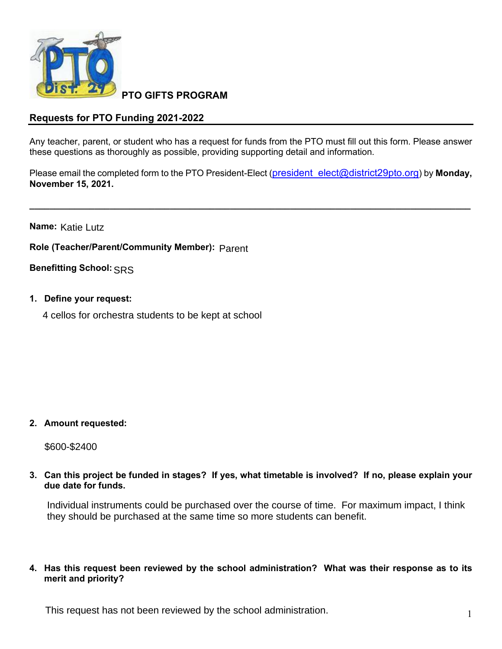

**PTO GIFTS PROGRAM**

## **Requests for PTO Funding 2021-2022**

Any teacher, parent, or student who has a request for funds from the PTO must fill out this form. Please answer these questions as thoroughly as possible, providing supporting detail and information.

Please email the completed form to the PTO President-Elect [\(president\\_elect@district29pto.org\)](mailto:president_elect@district29pto.org) by **Monday, November 15, 2021.**

**\_\_\_\_\_\_\_\_\_\_\_\_\_\_\_\_\_\_\_\_\_\_\_\_\_\_\_\_\_\_\_\_\_\_\_\_\_\_\_\_\_\_\_\_\_\_\_\_\_\_\_\_\_\_\_\_\_\_\_\_\_\_\_\_\_\_\_\_\_\_\_\_\_\_\_\_\_\_\_\_\_\_\_\_\_\_\_\_**

**Name:**  Katie Lutz

**Role (Teacher/Parent/Community Member):** Parent

**Benefitting School:** SRS

- **1. Define your request:**
	- 4 cellos for orchestra students to be kept at school

## **2. Amount requested:**

\$600-\$2400

**3. Can this project be funded in stages? If yes, what timetable is involved? If no, please explain your due date for funds.**

Individual instruments could be purchased over the course of time. For maximum impact, I think they should be purchased at the same time so more students can benefit.

**4. Has this request been reviewed by the school administration? What was their response as to its merit and priority?**

This request has not been reviewed by the school administration.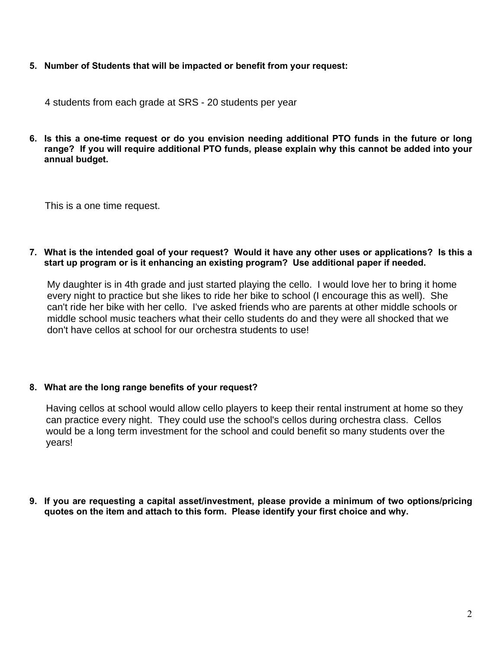**5. Number of Students that will be impacted or benefit from your request:**

4 students from each grade at SRS - 20 students per year

6. Is this a one-time request or do you envision needing additional PTO funds in the future or long **range? If you will require additional PTO funds, please explain why this cannot be added into your annual budget.**

This is a one time request.

7. What is the intended goal of your request? Would it have any other uses or applications? Is this a **start up program or is it enhancing an existing program? Use additional paper if needed.**

My daughter is in 4th grade and just started playing the cello. I would love her to bring it home every night to practice but she likes to ride her bike to school (I encourage this as well). She can't ride her bike with her cello. I've asked friends who are parents at other middle schools or middle school music teachers what their cello students do and they were all shocked that we don't have cellos at school for our orchestra students to use!

## **8. What are the long range benefits of your request?**

Having cellos at school would allow cello players to keep their rental instrument at home so they can practice every night. They could use the school's cellos during orchestra class. Cellos would be a long term investment for the school and could benefit so many students over the years!

**9. If you are requesting a capital asset/investment, please provide a minimum of two options/pricing quotes on the item and attach to this form. Please identify your first choice and why.**